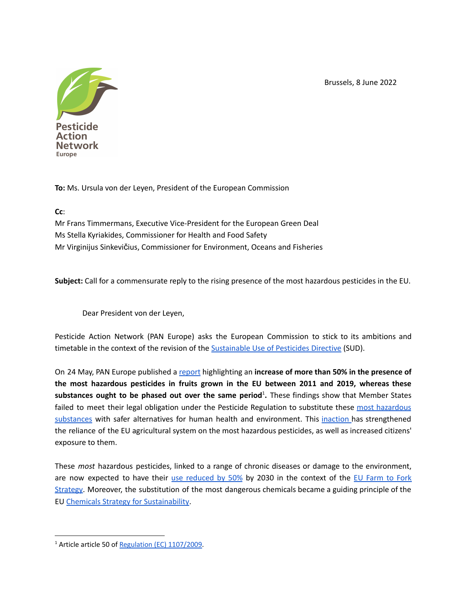Brussels, 8 June 2022



**To:** Ms. Ursula von der Leyen, President of the European Commission

## **Cc**:

Mr Frans Timmermans, Executive Vice-President for the European Green Deal Ms Stella Kyriakides, Commissioner for Health and Food Safety Mr Virginijus Sinkevičius, Commissioner for Environment, Oceans and Fisheries

**Subject:** Call for a commensurate reply to the rising presence of the most hazardous pesticides in the EU.

Dear President von der Leyen,

Pesticide Action Network (PAN Europe) asks the European Commission to stick to its ambitions and timetable in the context of the revision of the [Sustainable](https://eur-lex.europa.eu/eli/dir/2009/128/2009-11-25) Use of Pesticides Directive (SUD).

On 24 May, PAN Europe published a [report](https://www.pan-europe.info/sites/pan-europe.info/files/public/resources/reports/ForbiddenFruit_01.pdf) highlighting an **increase of more than 50% in the presence of the most hazardous pesticides in fruits grown in the EU between 2011 and 2019, whereas these substances ought to be phased out over the same period** 1 **.** These findings show that Member States failed to meet their legal obligation under the Pesticide Regulation to substitute these most [hazardous](https://ec.europa.eu/food/plant/pesticides/eu-pesticides-database/active-substances/index.cfm?event=search.as&t=3&s=3&s=1&a_from=&a_to=&e_from=&e_to=&additionalfilter__class_p1=&additionalfilter__class_p2=&string_tox_1=&string_tox_1=&string_tox_2=&string_tox_2=&string_tox_3=&string_tox_3=&string_tox_4=&string_tox_4=) [substances](https://ec.europa.eu/food/plant/pesticides/eu-pesticides-database/active-substances/index.cfm?event=search.as&t=3&s=3&s=1&a_from=&a_to=&e_from=&e_to=&additionalfilter__class_p1=&additionalfilter__class_p2=&string_tox_1=&string_tox_1=&string_tox_2=&string_tox_2=&string_tox_3=&string_tox_3=&string_tox_4=&string_tox_4=) with safer alternatives for human health and environment. This [inaction](https://eur-lex.europa.eu/legal-content/EN/TXT/PDF/?uri=CELEX:52020SC0087&from=EN) has strengthened the reliance of the EU agricultural system on the most hazardous pesticides, as well as increased citizens' exposure to them.

These *most* hazardous pesticides, linked to a range of chronic diseases or damage to the environment, are now expected to have their use [reduced](https://ec.europa.eu/food/plants/pesticides/sustainable-use-pesticides/farm-fork-targets-progress_en) by 50% by 2030 in the context of the EU [Farm](https://ec.europa.eu/food/horizontal-topics/farm-fork-strategy_en) to Fork [Strategy.](https://ec.europa.eu/food/horizontal-topics/farm-fork-strategy_en) Moreover, the substitution of the most dangerous chemicals became a guiding principle of the EU Chemicals Strategy for [Sustainability](https://ec.europa.eu/environment/pdf/chemicals/2020/10/Strategy.pdf).

<sup>&</sup>lt;sup>1</sup> Article article 50 of Regulation (EC) [1107/2009](https://eur-lex.europa.eu/legal-content/EN/TXT/PDF/?uri=CELEX:32009R1107&from=EN).